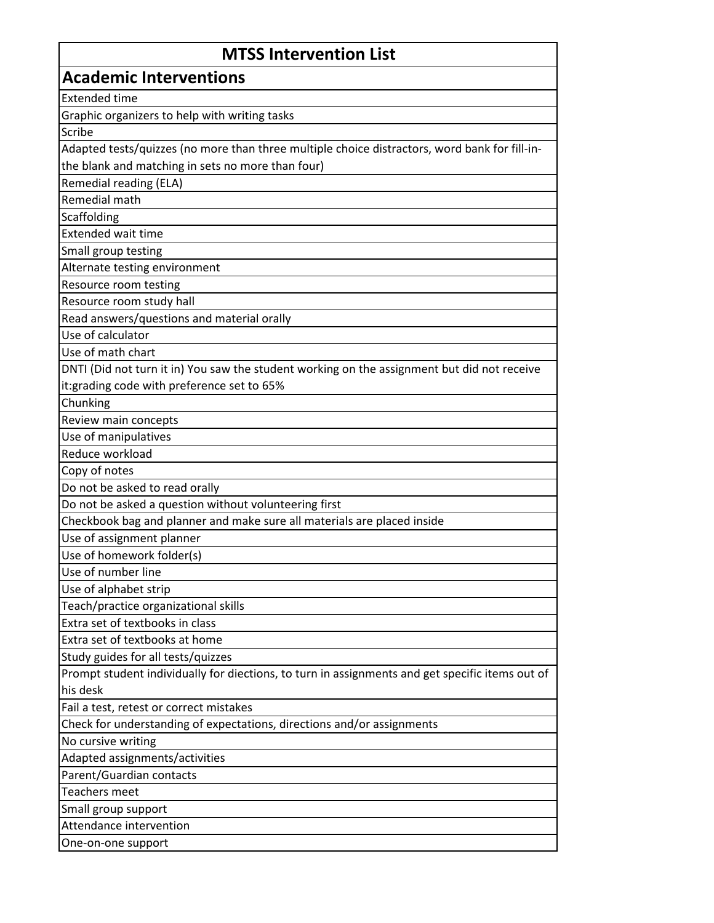| <b>MTSS Intervention List</b>                                                                               |
|-------------------------------------------------------------------------------------------------------------|
| <b>Academic Interventions</b>                                                                               |
| <b>Extended time</b>                                                                                        |
| Graphic organizers to help with writing tasks                                                               |
| Scribe                                                                                                      |
| Adapted tests/quizzes (no more than three multiple choice distractors, word bank for fill-in-               |
| the blank and matching in sets no more than four)                                                           |
| Remedial reading (ELA)                                                                                      |
| Remedial math                                                                                               |
| Scaffolding                                                                                                 |
| <b>Extended wait time</b>                                                                                   |
| Small group testing                                                                                         |
| Alternate testing environment                                                                               |
| Resource room testing                                                                                       |
| Resource room study hall                                                                                    |
| Read answers/questions and material orally                                                                  |
| Use of calculator                                                                                           |
| Use of math chart                                                                                           |
| DNTI (Did not turn it in) You saw the student working on the assignment but did not receive                 |
| it:grading code with preference set to 65%                                                                  |
| Chunking                                                                                                    |
| Review main concepts                                                                                        |
| Use of manipulatives                                                                                        |
| Reduce workload                                                                                             |
| Copy of notes                                                                                               |
| Do not be asked to read orally                                                                              |
| Do not be asked a question without volunteering first                                                       |
| Checkbook bag and planner and make sure all materials are placed inside                                     |
| Use of assignment planner                                                                                   |
| Use of homework folder(s)                                                                                   |
| Use of number line                                                                                          |
| Use of alphabet strip                                                                                       |
| Teach/practice organizational skills                                                                        |
| Extra set of textbooks in class                                                                             |
| Extra set of textbooks at home                                                                              |
| Study guides for all tests/quizzes                                                                          |
| Prompt student individually for diections, to turn in assignments and get specific items out of<br>his desk |
|                                                                                                             |
| Fail a test, retest or correct mistakes                                                                     |
| Check for understanding of expectations, directions and/or assignments                                      |
| No cursive writing<br>Adapted assignments/activities                                                        |
| Parent/Guardian contacts                                                                                    |
| <b>Teachers meet</b>                                                                                        |
| Small group support                                                                                         |
| Attendance intervention                                                                                     |
| One-on-one support                                                                                          |
|                                                                                                             |